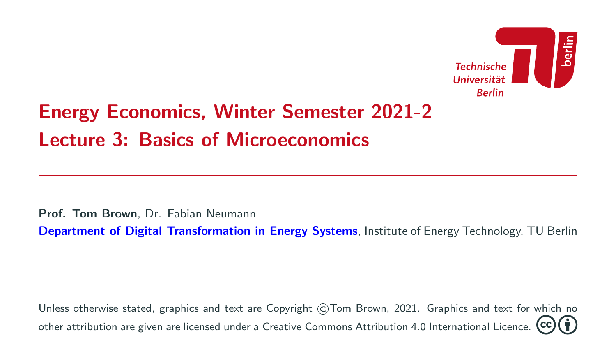

# Energy Economics, Winter Semester 2021-2 Lecture 3: Basics of Microeconomics

Prof. Tom Brown, Dr. Fabian Neumann

[Department of Digital Transformation in Energy Systems](https://tub-ensys.github.io/), Institute of Energy Technology, TU Berlin

Unless otherwise stated, graphics and text are Copyright ©Tom Brown, 2021. Graphics and text for which no other attribution are given are licensed under a [Creative Commons Attribution 4.0 International Licence.](https://creativecommons.org/licenses/by/4.0/)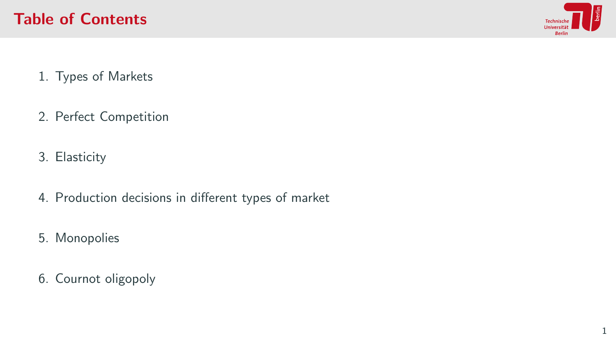

- 1. [Types of Markets](#page-2-0)
- 2. [Perfect Competition](#page-5-0)
- 3. [Elasticity](#page-26-0)
- 4. [Production decisions in different types of market](#page-42-0)
- 5. [Monopolies](#page-59-0)
- 6. [Cournot oligopoly](#page-66-0)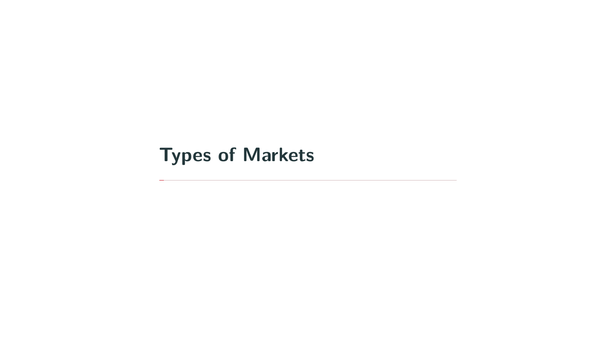# <span id="page-2-0"></span>[Types of Markets](#page-2-0)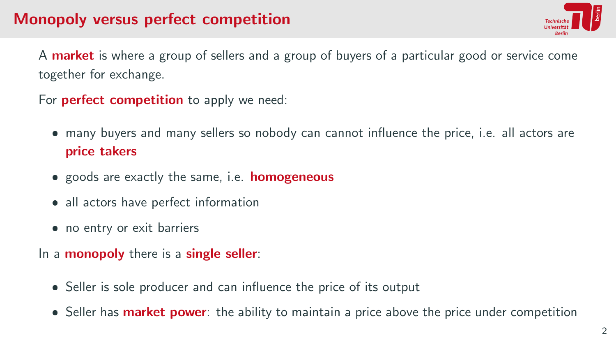## Monopoly versus perfect competition



A **market** is where a group of sellers and a group of buyers of a particular good or service come together for exchange.

For **perfect competition** to apply we need:

- many buyers and many sellers so nobody can cannot influence the price, i.e. all actors are price takers
- **•** goods are exactly the same, i.e. **homogeneous**
- all actors have perfect information
- no entry or exit barriers

In a **monopoly** there is a **single seller**:

- Seller is sole producer and can influence the price of its output
- **Seller has market power**: the ability to maintain a price above the price under competition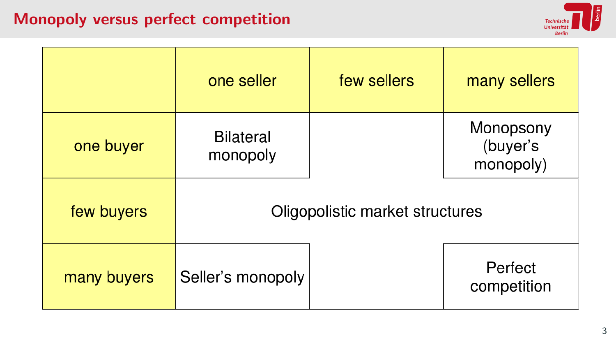## Monopoly versus perfect competition



|             | one seller                      | few sellers | many sellers                       |
|-------------|---------------------------------|-------------|------------------------------------|
| one buyer   | <b>Bilateral</b><br>monopoly    |             | Monopsony<br>(buyer's<br>monopoly) |
| few buyers  | Oligopolistic market structures |             |                                    |
| many buyers | Seller's monopoly               |             | Perfect<br>competition             |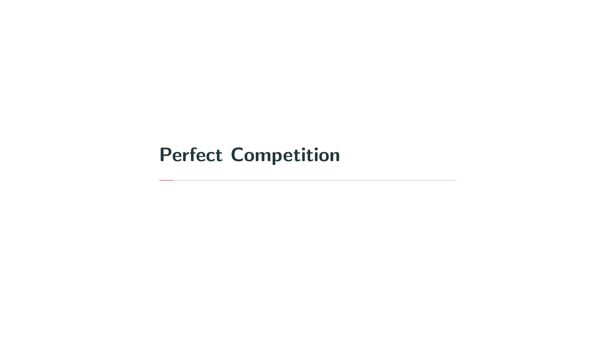# <span id="page-5-0"></span>[Perfect Competition](#page-5-0)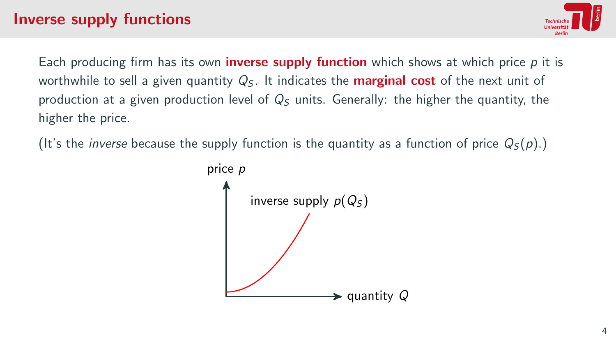

Each producing firm has its own **inverse supply function** which shows at which price  $p$  it is worthwhile to sell a given quantity  $Q_5$ . It indicates the **marginal cost** of the next unit of production at a given production level of  $Q_5$  units. Generally: the higher the quantity, the higher the price.

(It's the *inverse* because the supply function is the quantity as a function of price  $Q_5(p)$ .)

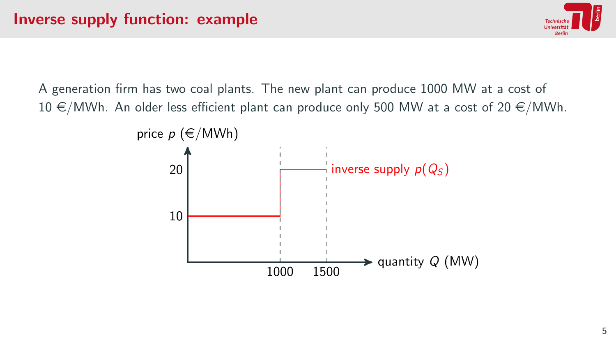

A generation firm has two coal plants. The new plant can produce 1000 MW at a cost of  $10 \in /MWh$ . An older less efficient plant can produce only 500 MW at a cost of 20  $\in /MWh$ .

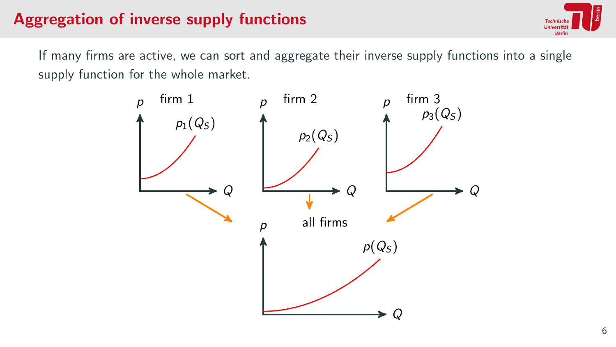# Aggregation of inverse supply functions



If many firms are active, we can sort and aggregate their inverse supply functions into a single supply function for the whole market.

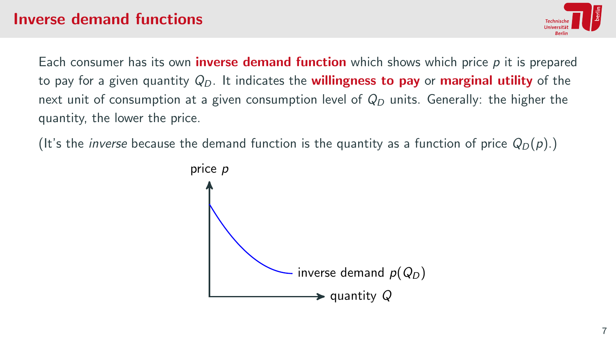### Inverse demand functions



Each consumer has its own **inverse demand function** which shows which price  $p$  it is prepared to pay for a given quantity  $Q_D$ . It indicates the **willingness to pay** or **marginal utility** of the next unit of consumption at a given consumption level of  $Q_D$  units. Generally: the higher the quantity, the lower the price.

(It's the *inverse* because the demand function is the quantity as a function of price  $Q_D(p)$ .)

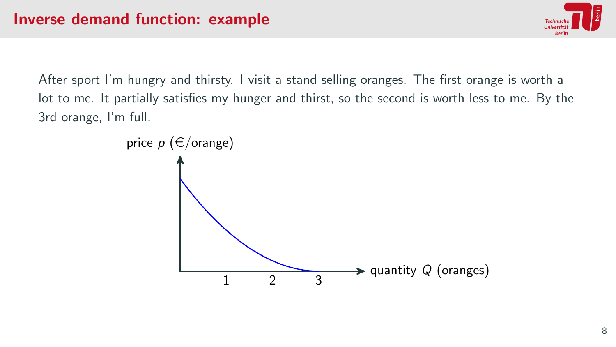

After sport I'm hungry and thirsty. I visit a stand selling oranges. The first orange is worth a lot to me. It partially satisfies my hunger and thirst, so the second is worth less to me. By the 3rd orange, I'm full.

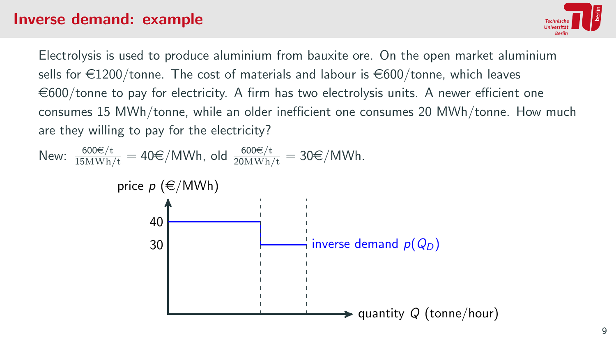#### Inverse demand: example



Electrolysis is used to produce aluminium from bauxite ore. On the open market aluminium sells for  $\in$ 1200/tonne. The cost of materials and labour is  $\in$ 600/tonne, which leaves  $\epsilon$ 600/tonne to pay for electricity. A firm has two electrolysis units. A newer efficient one consumes 15 MWh/tonne, while an older inefficient one consumes 20 MWh/tonne. How much are they willing to pay for the electricity?

New:  $\frac{600 \epsilon/t}{15 M W h/t} = 40 \epsilon/MWh$ , old  $\frac{600 \epsilon/t}{20 M W h/t} = 30 \epsilon/MWh$ .

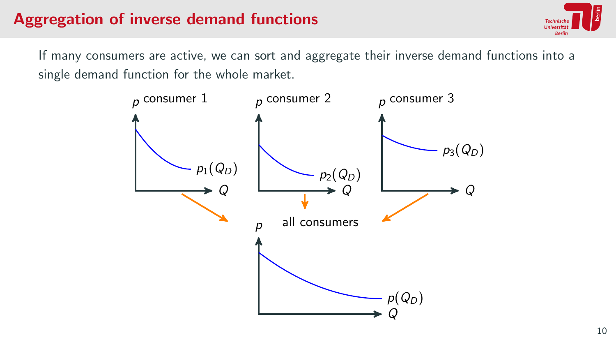# Aggregation of inverse demand functions



If many consumers are active, we can sort and aggregate their inverse demand functions into a single demand function for the whole market.

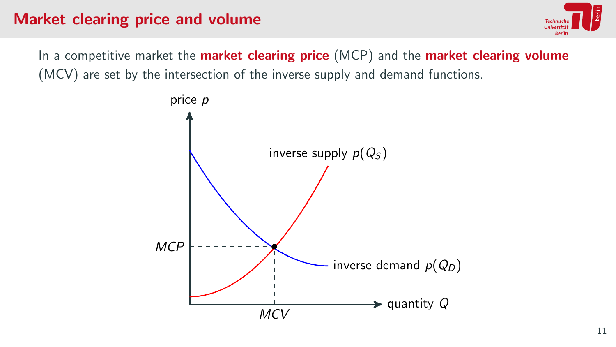## Market clearing price and volume



In a competitive market the **market clearing price** (MCP) and the **market clearing volume** (MCV) are set by the intersection of the inverse supply and demand functions.

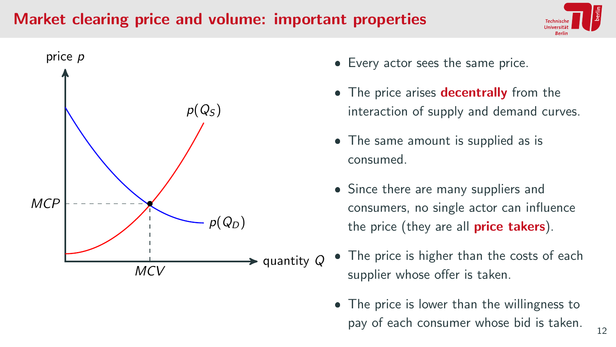### Market clearing price and volume: important properties





- Every actor sees the same price.
- The price arises decentrally from the interaction of supply and demand curves.
- The same amount is supplied as is consumed.
- Since there are many suppliers and consumers, no single actor can influence the price (they are all **price takers**).
- The price is higher than the costs of each supplier whose offer is taken.
	- The price is lower than the willingness to pay of each consumer whose bid is taken.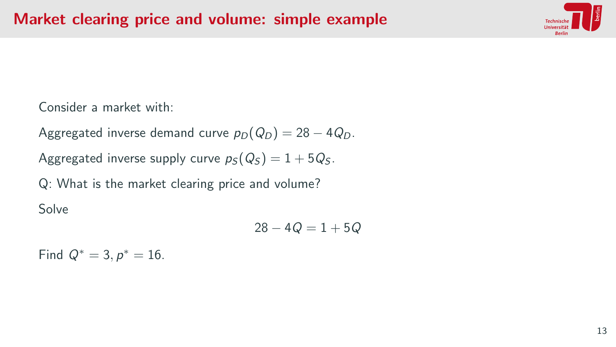

Consider a market with:

Aggregated inverse demand curve  $p_D(Q_D) = 28 - 4Q_D$ .

Aggregated inverse supply curve  $p_S(Q_S) = 1 + 5Q_S$ .

Q: What is the market clearing price and volume?

Solve

$$
28-4{\it Q}=1+5{\it Q}
$$

Find  $Q^* = 3, p^* = 16$ .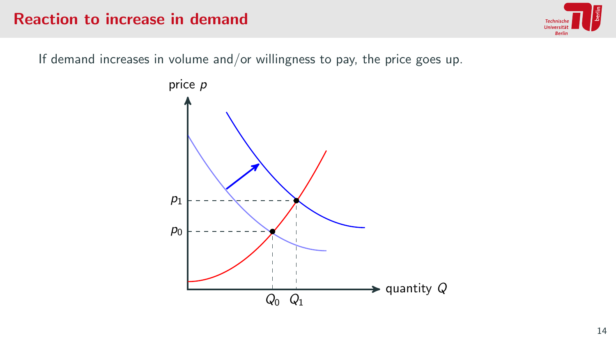### Reaction to increase in demand



If demand increases in volume and/or willingness to pay, the price goes up.

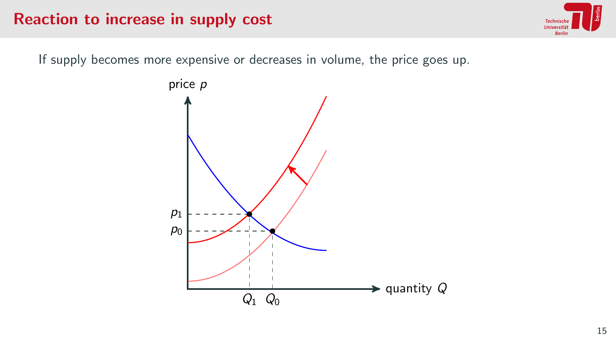#### Reaction to increase in supply cost



If supply becomes more expensive or decreases in volume, the price goes up.

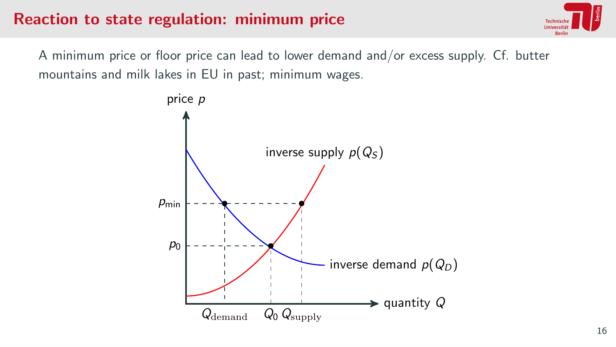### Reaction to state regulation: minimum price



A minimum price or floor price can lead to lower demand and/or excess supply. Cf. butter mountains and milk lakes in EU in past; minimum wages.

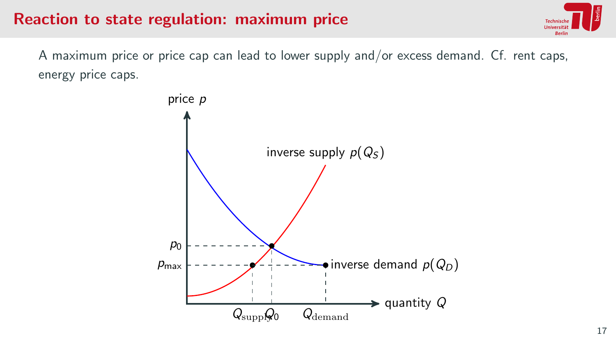#### Reaction to state regulation: maximum price



A maximum price or price cap can lead to lower supply and/or excess demand. Cf. rent caps, energy price caps.

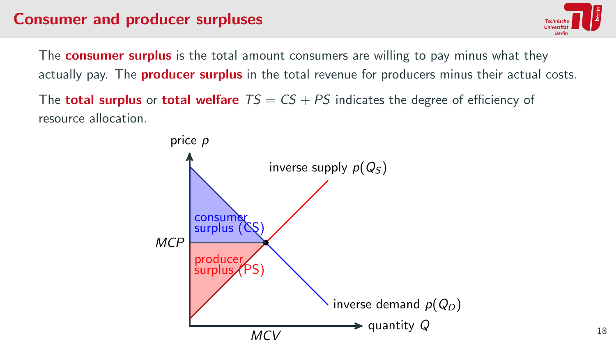## Consumer and producer surpluses



The **consumer surplus** is the total amount consumers are willing to pay minus what they actually pay. The **producer surplus** in the total revenue for producers minus their actual costs.

The **total surplus** or **total welfare**  $TS = CS + PS$  indicates the degree of efficiency of resource allocation.

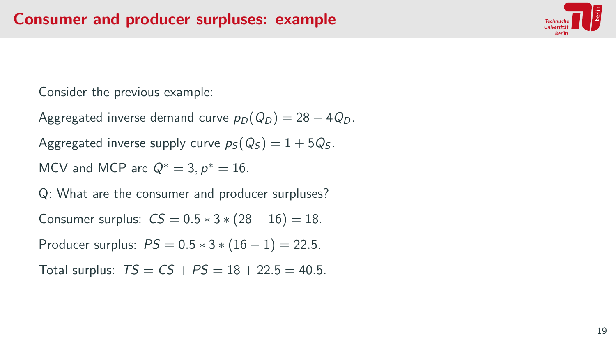

Consider the previous example:

Aggregated inverse demand curve  $p_D(Q_D) = 28 - 4Q_D$ .

Aggregated inverse supply curve  $p_S(Q_S) = 1 + 5Q_S$ .

MCV and MCP are  $Q^* = 3, p^* = 16$ .

Q: What are the consumer and producer surpluses?

Consumer surplus:  $CS = 0.5 * 3 * (28 - 16) = 18$ .

Producer surplus:  $PS = 0.5 * 3 * (16 - 1) = 22.5$ .

Total surplus:  $TS = CS + PS = 18 + 22.5 = 40.5$ .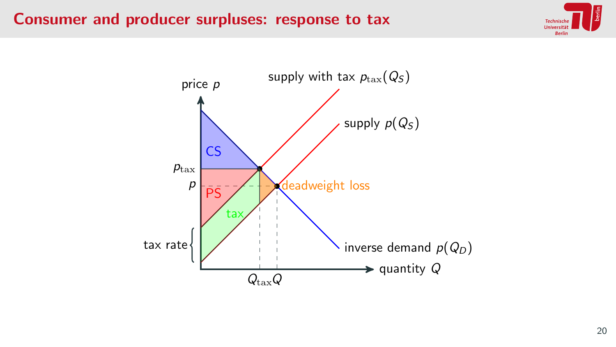#### Consumer and producer surpluses: response to tax



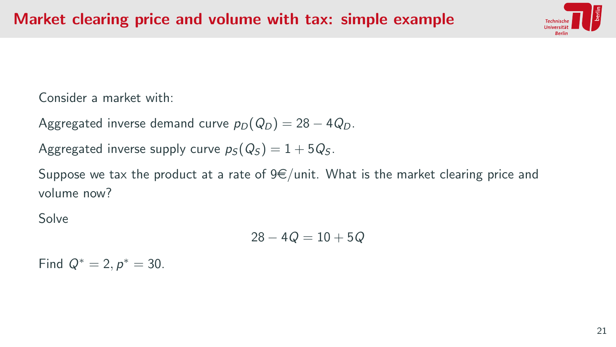

Consider a market with:

Aggregated inverse demand curve  $p_D(Q_D) = 28 - 4Q_D$ .

Aggregated inverse supply curve  $p_S(Q_S) = 1 + 5Q_S$ .

Suppose we tax the product at a rate of  $9 \in \ell$  unit. What is the market clearing price and volume now?

Solve

$$
28-4{\it Q}=10+5{\it Q}
$$

Find  $Q^* = 2, p^* = 30$ .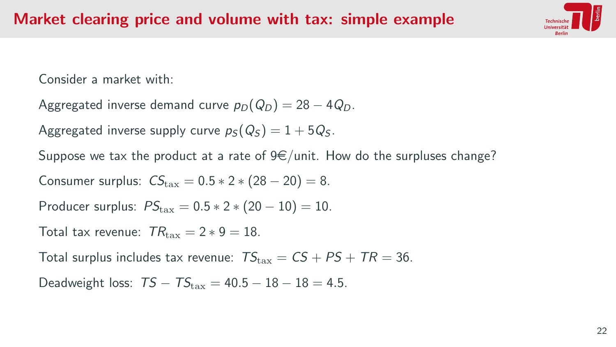

Consider a market with:

- Aggregated inverse demand curve  $p_D(Q_D) = 28 4Q_D$ .
- Aggregated inverse supply curve  $p_S(Q_S) = 1 + 5Q_S$ .
- Suppose we tax the product at a rate of  $9 \in$ /unit. How do the surpluses change?
- Consumer surplus:  $CS_{\text{tax}} = 0.5 * 2 * (28 20) = 8$ .
- Producer surplus:  $PS_{\text{tav}} = 0.5 * 2 * (20 10) = 10$ .
- Total tax revenue:  $TR_{\text{tax}} = 2 * 9 = 18$ .

Total surplus includes tax revenue:  $TS_{\text{tax}} = CS + PS + TR = 36$ .

Deadweight loss:  $TS - TS_{\text{tax}} = 40.5 - 18 - 18 = 4.5$ .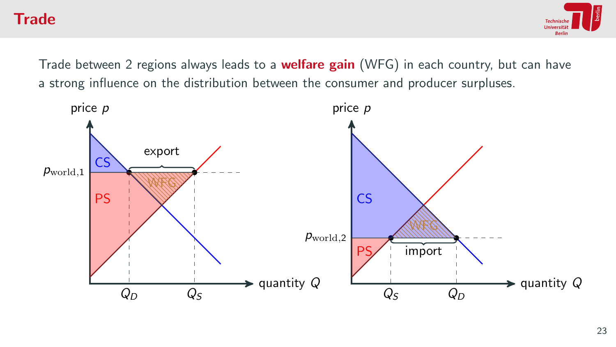#### **Trade**



Trade between 2 regions always leads to a **welfare gain** (WFG) in each country, but can have a strong influence on the distribution between the consumer and producer surpluses.

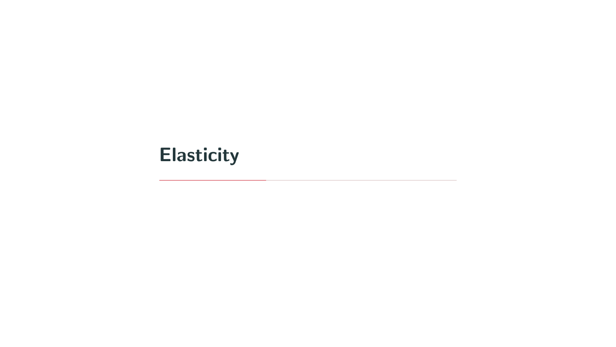# <span id="page-26-0"></span>**[Elasticity](#page-26-0)**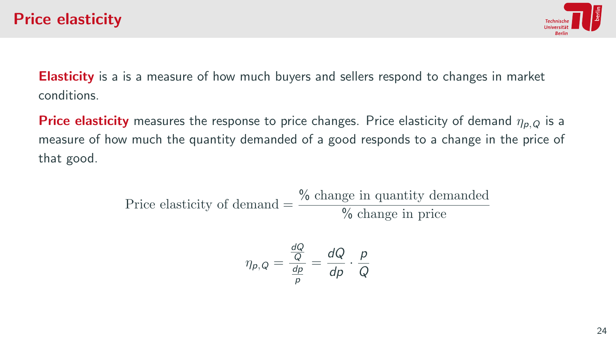

**Elasticity** is a is a measure of how much buyers and sellers respond to changes in market conditions.

**Price elasticity** measures the response to price changes. Price elasticity of demand  $\eta_{p,Q}$  is a measure of how much the quantity demanded of a good responds to a change in the price of that good.

> Price elasticity of demand  $=\frac{\% \text{ change in quantity demanded}}{N}$ % change in price

$$
\eta_{p,Q} = \frac{\frac{dQ}{Q}}{\frac{dp}{p}} = \frac{dQ}{dp} \cdot \frac{p}{Q}
$$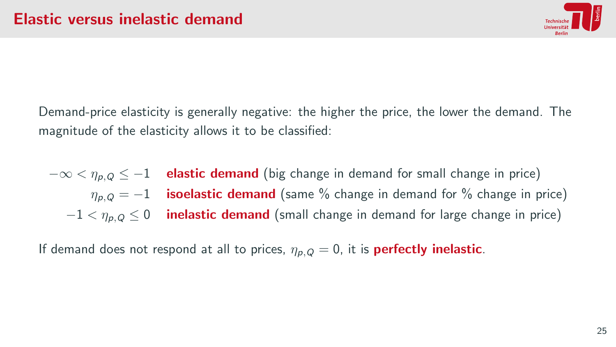

Demand-price elasticity is generally negative: the higher the price, the lower the demand. The magnitude of the elasticity allows it to be classified:

 $-\infty < \eta_{p,Q} \leq -1$  elastic demand (big change in demand for small change in price)  $\eta_{p,Q} = -1$  isoelastic demand (same % change in demand for % change in price)  $-1 < \eta_{p,Q} \leq 0$  inelastic demand (small change in demand for large change in price)

If demand does not respond at all to prices,  $\eta_{p,Q} = 0$ , it is **perfectly inelastic**.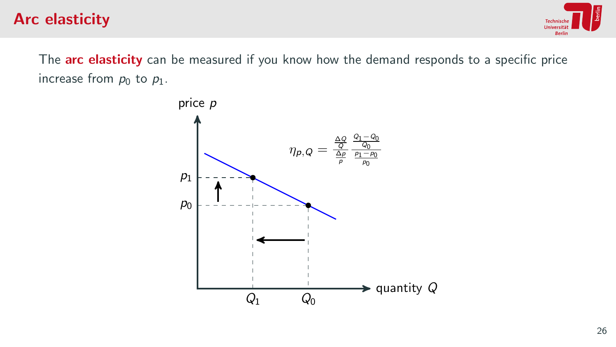## Arc elasticity



The arc elasticity can be measured if you know how the demand responds to a specific price increase from  $p_0$  to  $p_1$ .

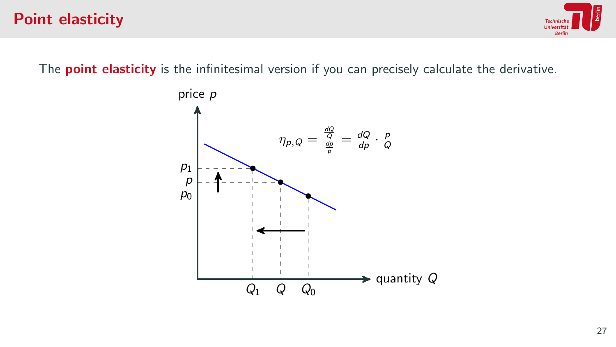#### Point elasticity

Hniversi

The **point elasticity** is the infinitesimal version if you can precisely calculate the derivative.

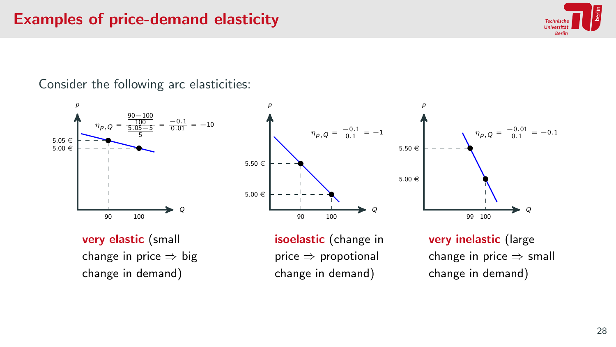## Examples of price-demand elasticity



Consider the following arc elasticities:





very elastic (small change in price  $\Rightarrow$  big change in demand)

isoelastic (change in price ⇒ propotional change in demand)

very inelastic (large change in price  $\Rightarrow$  small change in demand)

 $\eta_{p,Q} = \frac{-0.01}{0.1}$ 

99 100

p

 $5.50 \in$ 

 $5.00 \in$ 

Q

 $= -0.1$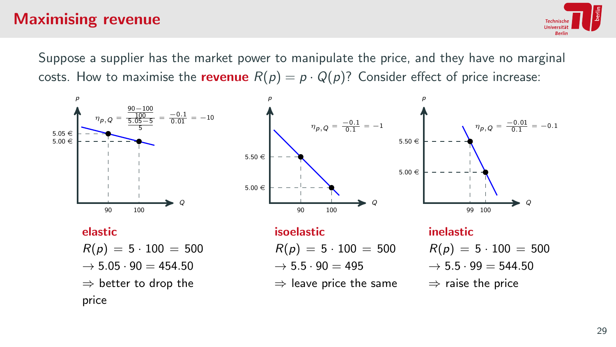## Maximising revenue



Suppose a supplier has the market power to manipulate the price, and they have no marginal costs. How to maximise the **revenue**  $R(p) = p \cdot Q(p)$ ? Consider effect of price increase:

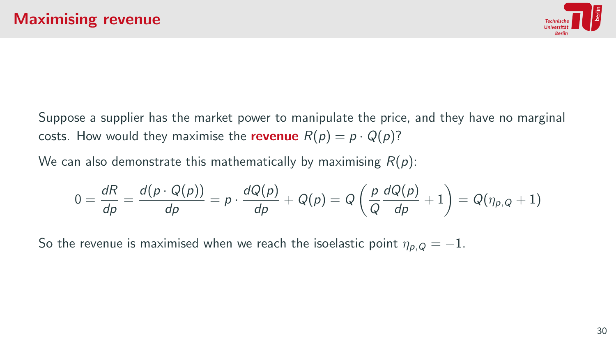

Suppose a supplier has the market power to manipulate the price, and they have no marginal costs. How would they maximise the **revenue**  $R(p) = p \cdot Q(p)$ ?

We can also demonstrate this mathematically by maximising  $R(p)$ :

$$
0 = \frac{dR}{dp} = \frac{d(p \cdot Q(p))}{dp} = p \cdot \frac{dQ(p)}{dp} + Q(p) = Q\left(\frac{p}{Q}\frac{dQ(p)}{dp} + 1\right) = Q(\eta_{p,Q} + 1)
$$

So the revenue is maximised when we reach the isoelastic point  $\eta_{p,Q} = -1$ .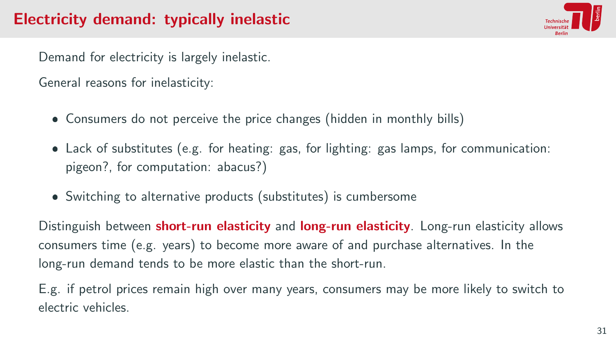# Electricity demand: typically inelastic



Demand for electricity is largely inelastic.

General reasons for inelasticity:

- Consumers do not perceive the price changes (hidden in monthly bills)
- Lack of substitutes (e.g. for heating: gas, for lighting: gas lamps, for communication: pigeon?, for computation: abacus?)
- Switching to alternative products (substitutes) is cumbersome

Distinguish between **short-run elasticity** and **long-run elasticity**. Long-run elasticity allows consumers time (e.g. years) to become more aware of and purchase alternatives. In the long-run demand tends to be more elastic than the short-run.

E.g. if petrol prices remain high over many years, consumers may be more likely to switch to electric vehicles.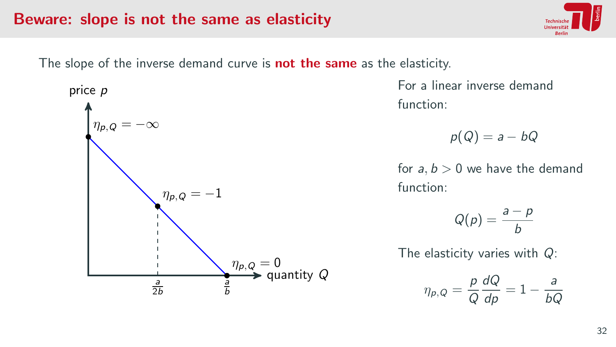#### Beware: slope is not the same as elasticity

The slope of the inverse demand curve is **not the same** as the elasticity.



For a linear inverse demand function:

$$
p(Q)=a-bQ
$$

for  $a, b > 0$  we have the demand function:

$$
Q(p) = \frac{a-p}{b}
$$

The elasticity varies with Q:

$$
\eta_{p,Q} = \frac{p}{Q} \frac{dQ}{dp} = 1 - \frac{a}{bQ}
$$

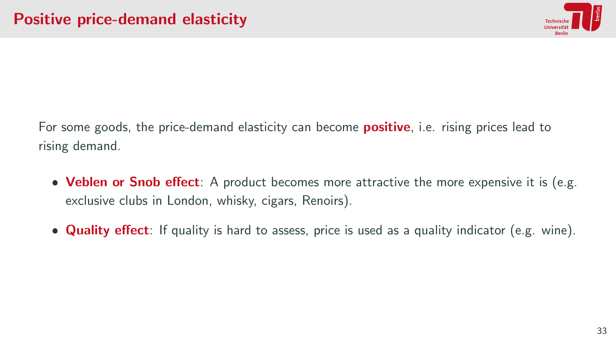

For some goods, the price-demand elasticity can become **positive**, i.e. rising prices lead to rising demand.

- Veblen or Snob effect: A product becomes more attractive the more expensive it is (e.g. exclusive clubs in London, whisky, cigars, Renoirs).
- **Quality effect**: If quality is hard to assess, price is used as a quality indicator (e.g. wine).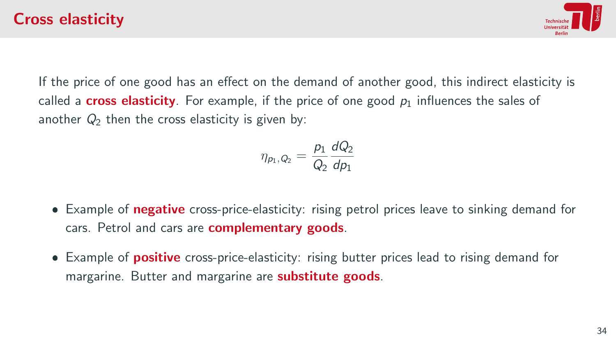

If the price of one good has an effect on the demand of another good, this indirect elasticity is called a **cross elasticity**. For example, if the price of one good  $p_1$  influences the sales of another  $Q_2$  then the cross elasticity is given by:

$$
\eta_{p_1,Q_2} = \frac{p_1}{Q_2} \frac{dQ_2}{dp_1}
$$

- **Example of negative** cross-price-elasticity: rising petrol prices leave to sinking demand for cars. Petrol and cars are **complementary goods**.
- **Example of positive** cross-price-elasticity: rising butter prices lead to rising demand for margarine. Butter and margarine are **substitute goods**.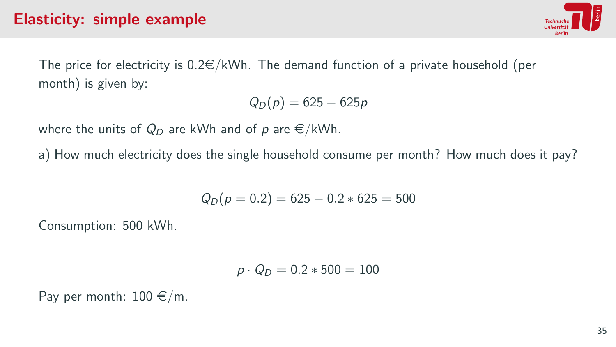

The price for electricity is  $0.2 \in /kWh$ . The demand function of a private household (per month) is given by:

$$
Q_D(p)=625-625p
$$

where the units of  $Q_D$  are kWh and of p are  $\epsilon/kWh$ .

a) How much electricity does the single household consume per month? How much does it pay?

$$
Q_D(p=0.2)=625-0.2*625=500
$$

Consumption: 500 kWh.

$$
\rho\cdot Q_D=0.2*500=100
$$

Pay per month:  $100 \text{ } \infty$ /m.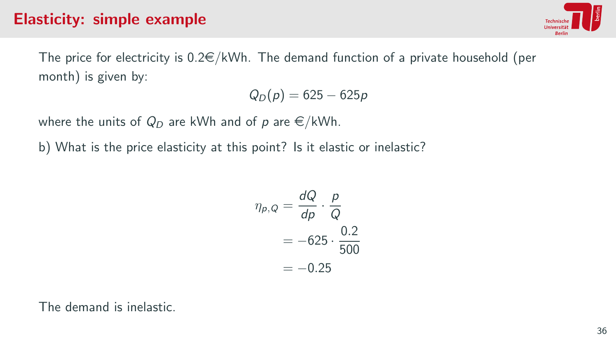

The price for electricity is  $0.2 \in /kWh$ . The demand function of a private household (per month) is given by:

$$
Q_D(p)=625-625p
$$

where the units of  $Q_D$  are kWh and of p are  $\epsilon/kWh$ .

b) What is the price elasticity at this point? Is it elastic or inelastic?

$$
\eta_{p,Q} = \frac{dQ}{dp} \cdot \frac{p}{Q}
$$

$$
= -625 \cdot \frac{0.2}{500}
$$

$$
= -0.25
$$

The demand is inelastic.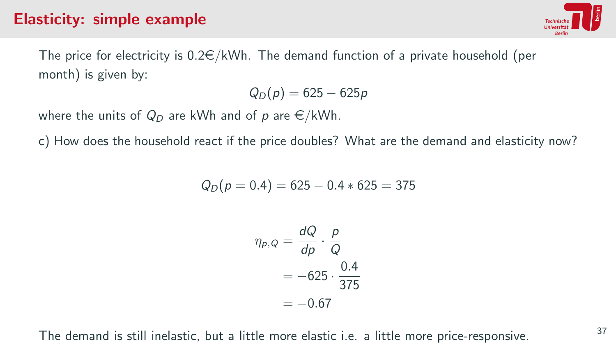

The price for electricity is  $0.2 \in /kWh$ . The demand function of a private household (per month) is given by:

$$
Q_D(p)=625-625p
$$

where the units of  $Q_D$  are kWh and of p are  $\epsilon/kWh$ .

c) How does the household react if the price doubles? What are the demand and elasticity now?

$$
Q_D(p=0.4)=625-0.4*625=375
$$

$$
\eta_{p,Q} = \frac{dQ}{dp} \cdot \frac{p}{Q}
$$

$$
= -625 \cdot \frac{0.4}{375}
$$

$$
= -0.67
$$

The demand is still inelastic, but a little more elastic i.e. a little more price-responsive.  $37$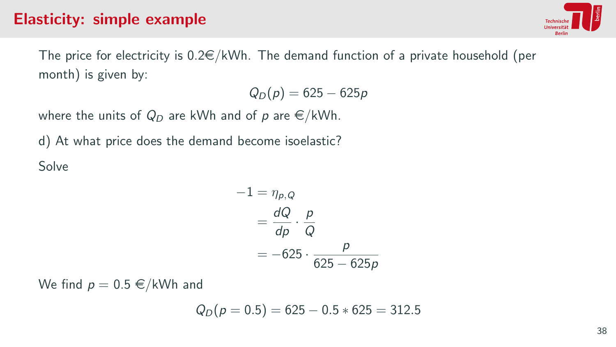

The price for electricity is  $0.2 \in /kWh$ . The demand function of a private household (per month) is given by:

$$
Q_D(p)=625-625p
$$

where the units of  $Q_D$  are kWh and of p are  $\epsilon/kWh$ .

d) At what price does the demand become isoelastic? Solve

$$
-1 = \eta_{p,Q}
$$
  
=  $\frac{dQ}{dp} \cdot \frac{p}{Q}$   
= -625  $\cdot \frac{p}{625 - 625p}$ 

We find  $p = 0.5 \in /kWh$  and

$$
Q_D(p=0.5)=625-0.5*625=312.5
$$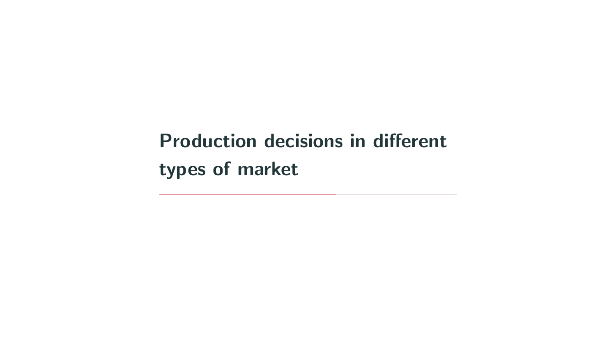<span id="page-42-0"></span>[Production decisions in different](#page-42-0) [types of market](#page-42-0)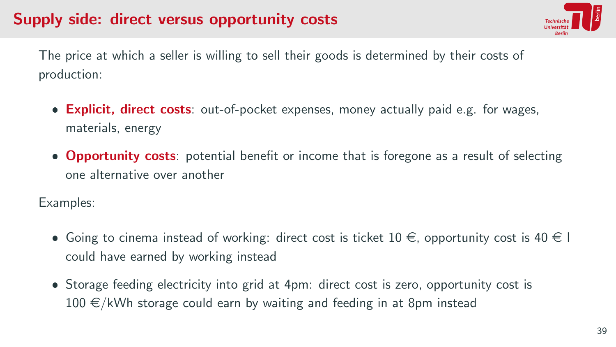# Supply side: direct versus opportunity costs



The price at which a seller is willing to sell their goods is determined by their costs of production:

- **Explicit, direct costs**: out-of-pocket expenses, money actually paid e.g. for wages, materials, energy
- **Opportunity costs**: potential benefit or income that is foregone as a result of selecting one alternative over another

Examples:

- Going to cinema instead of working: direct cost is ticket  $10 \in$ , opportunity cost is  $40 \in I$ could have earned by working instead
- Storage feeding electricity into grid at 4pm: direct cost is zero, opportunity cost is  $100 \in /kWh$  storage could earn by waiting and feeding in at 8pm instead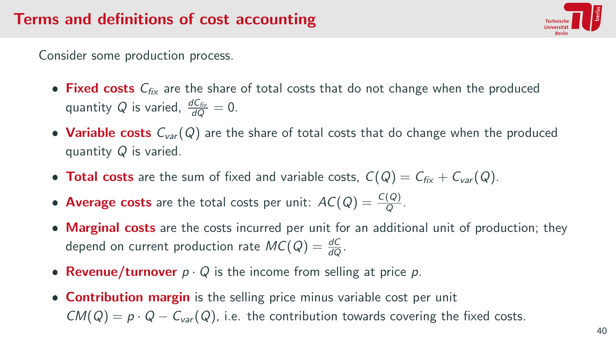

Consider some production process.

- Fixed costs  $C_{fix}$  are the share of total costs that do not change when the produced quantity Q is varied,  $\frac{dC_{fix}}{dQ} = 0$ .
- Variable costs  $C_{var}(Q)$  are the share of total costs that do change when the produced quantity Q is varied.
- Total costs are the sum of fixed and variable costs,  $C(Q) = C_{fix} + C_{var}(Q)$ .
- Average costs are the total costs per unit:  $AC(Q) = \frac{C(Q)}{Q}$ .
- Marginal costs are the costs incurred per unit for an additional unit of production; they depend on current production rate  $MC(Q) = \frac{dC}{dQ}$ .
- Revenue/turnover  $p \cdot Q$  is the income from selling at price  $p$ .
- **Contribution margin** is the selling price minus variable cost per unit  $CM(Q) = p \cdot Q - C_{var}(Q)$ , i.e. the contribution towards covering the fixed costs.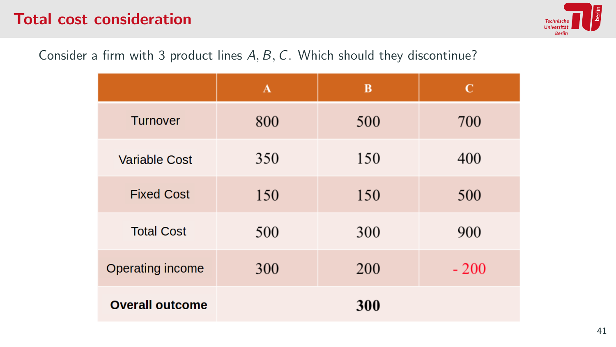## Total cost consideration



#### Consider a firm with 3 product lines A, B, C. Which should they discontinue?

|                        | $\mathbf{A}$ | B   | C      |
|------------------------|--------------|-----|--------|
| <b>Turnover</b>        | 800          | 500 | 700    |
| <b>Variable Cost</b>   | 350          | 150 | 400    |
| <b>Fixed Cost</b>      | 150          | 150 | 500    |
| <b>Total Cost</b>      | 500          | 300 | 900    |
| Operating income       | 300          | 200 | $-200$ |
| <b>Overall outcome</b> |              | 300 |        |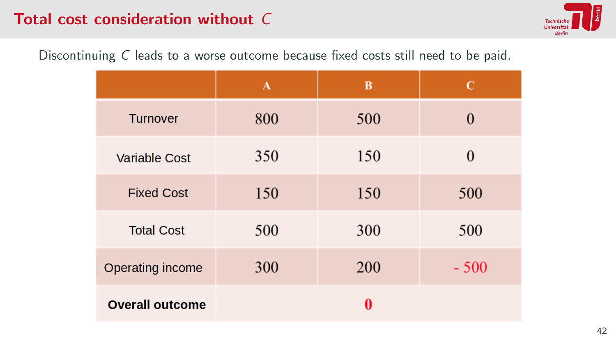## Total cost consideration without C



Discontinuing C leads to a worse outcome because fixed costs still need to be paid.

|                        | $\mathbf{A}$ | B   | $\mathbf C$ |
|------------------------|--------------|-----|-------------|
| <b>Turnover</b>        | 800          | 500 | $\Omega$    |
| <b>Variable Cost</b>   | 350          | 150 | $\Omega$    |
| <b>Fixed Cost</b>      | 150          | 150 | 500         |
| <b>Total Cost</b>      | 500          | 300 | 500         |
| Operating income       | 300          | 200 | $-500$      |
| <b>Overall outcome</b> |              | 0   |             |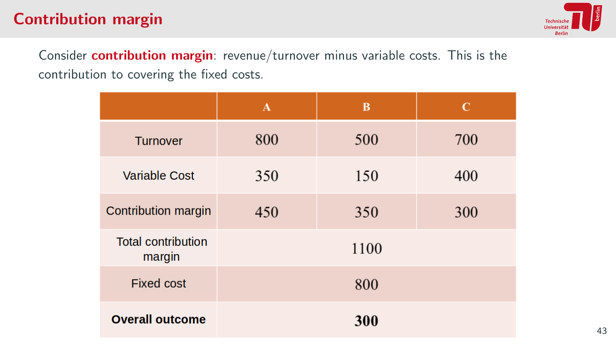# Contribution margin



Consider **contribution margin**: revenue/turnover minus variable costs. This is the contribution to covering the fixed costs.

|                                     | $\mathbf{A}$ | B    | $\mathbf C$ |
|-------------------------------------|--------------|------|-------------|
| <b>Turnover</b>                     | 800          | 500  | 700         |
| <b>Variable Cost</b>                | 350          | 150  | 400         |
| Contribution margin                 | 450          | 350  | 300         |
| <b>Total contribution</b><br>margin |              | 1100 |             |
| <b>Fixed cost</b>                   |              | 800  |             |
| <b>Overall outcome</b>              |              | 300  |             |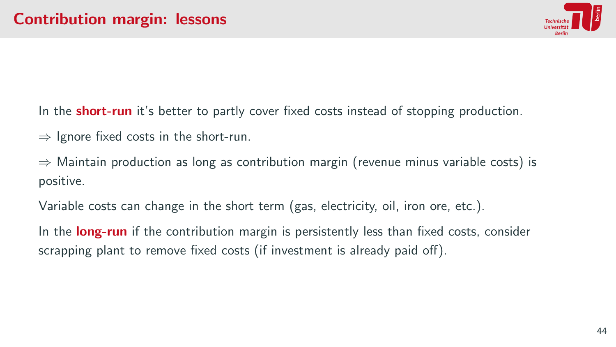

In the **short-run** it's better to partly cover fixed costs instead of stopping production.

 $\Rightarrow$  Ignore fixed costs in the short-run.

 $\Rightarrow$  Maintain production as long as contribution margin (revenue minus variable costs) is positive.

Variable costs can change in the short term (gas, electricity, oil, iron ore, etc.).

In the **long-run** if the contribution margin is persistently less than fixed costs, consider scrapping plant to remove fixed costs (if investment is already paid off).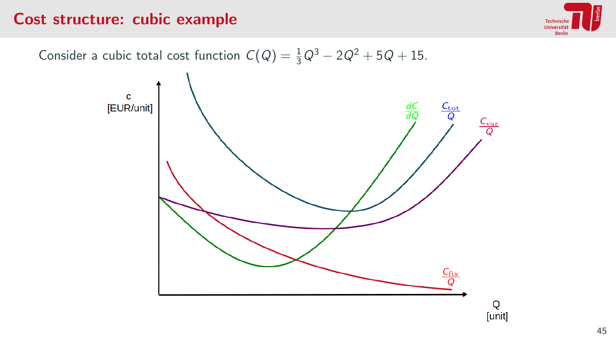#### Cost structure: cubic example



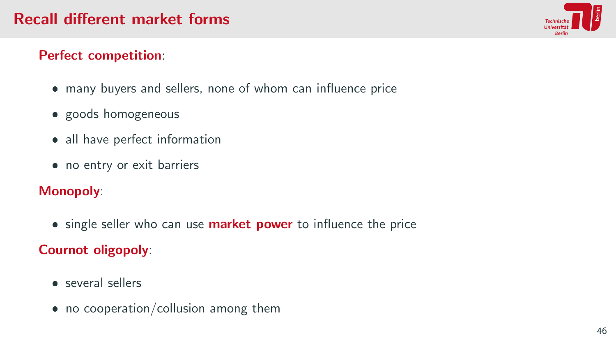

#### Perfect competition:

- many buyers and sellers, none of whom can influence price
- goods homogeneous
- all have perfect information
- no entry or exit barriers

#### Monopoly:

**single seller who can use market power** to influence the price

#### Cournot oligopoly:

- several sellers
- no cooperation/collusion among them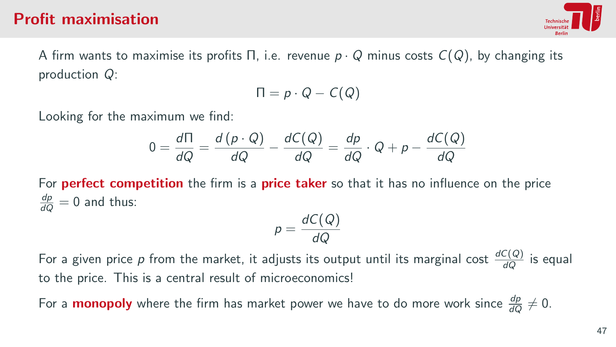#### Profit maximisation



A firm wants to maximise its profits  $\Pi$ , i.e. revenue  $p \cdot Q$  minus costs  $C(Q)$ , by changing its production Q:

$$
\Pi = p \cdot Q - C(Q)
$$

Looking for the maximum we find:

$$
0 = \frac{d\Pi}{dQ} = \frac{d(p \cdot Q)}{dQ} - \frac{dC(Q)}{dQ} = \frac{dp}{dQ} \cdot Q + p - \frac{dC(Q)}{dQ}
$$

For **perfect competition** the firm is a **price taker** so that it has no influence on the price  $\frac{dp}{dQ} = 0$  and thus:

$$
p = \frac{dC(Q)}{dQ}
$$

For a given price  $p$  from the market, it adjusts its output until its marginal cost  $\frac{dC(Q)}{dQ}$  is equal to the price. This is a central result of microeconomics!

For a **monopoly** where the firm has market power we have to do more work since  $\frac{dp}{dQ}\neq 0$ .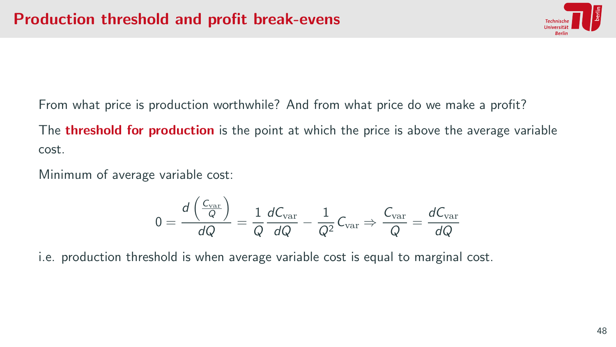

From what price is production worthwhile? And from what price do we make a profit?

The **threshold for production** is the point at which the price is above the average variable cost.

Minimum of average variable cost:

$$
0 = \frac{d \left( \frac{C_{\text{var}}}{Q} \right)}{d Q} = \frac{1}{Q} \frac{d C_{\text{var}}}{d Q} - \frac{1}{Q^2} C_{\text{var}} \Rightarrow \frac{C_{\text{var}}}{Q} = \frac{d C_{\text{var}}}{d Q}
$$

i.e. production threshold is when average variable cost is equal to marginal cost.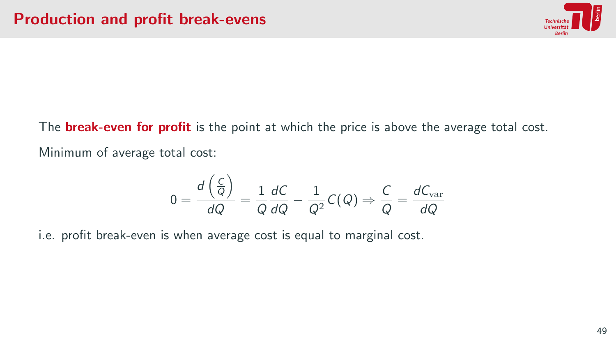

The **break-even for profit** is the point at which the price is above the average total cost. Minimum of average total cost:

$$
0 = \frac{d\left(\frac{C}{Q}\right)}{dQ} = \frac{1}{Q}\frac{dC}{dQ} - \frac{1}{Q^2}C(Q) \Rightarrow \frac{C}{Q} = \frac{dC_{\text{var}}}{dQ}
$$

i.e. profit break-even is when average cost is equal to marginal cost.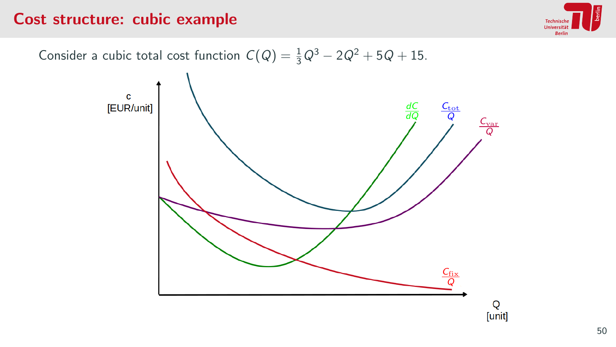#### Cost structure: cubic example



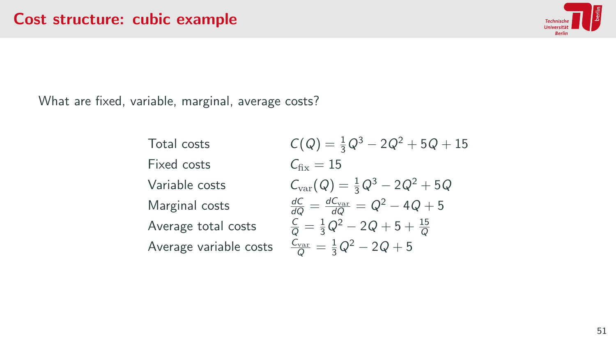

What are fixed, variable, marginal, average costs?

Total costs  $C(Q) = \frac{1}{3}Q^3 - 2Q^2 + 5Q + 15$ Fixed costs  $C_{\text{fix}} = 15$ Variable costs  $C_{\text{var}}(Q) = \frac{1}{3}Q^3 - 2Q^2 + 5Q$ Marginal costs  $\frac{dC}{dQ} = \frac{dC_{\text{var}}}{dQ} = Q^2 - 4Q + 5$ Average total costs  $\frac{C}{Q} = \frac{1}{3}Q^2 - 2Q + 5 + \frac{15}{Q}$ Average variable costs  $\frac{C_{\text{var}}}{Q} = \frac{1}{3}Q^2 - 2Q + 5$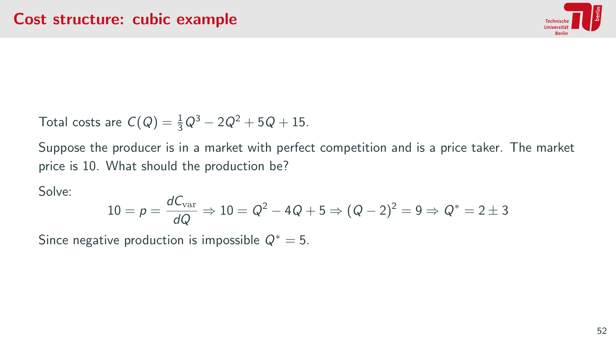

Total costs are  $C(Q) = \frac{1}{3}Q^3 - 2Q^2 + 5Q + 15$ .

Suppose the producer is in a market with perfect competition and is a price taker. The market price is 10. What should the production be?

Solve:

$$
10 = p = \frac{dC_{\text{var}}}{dQ} \Rightarrow 10 = Q^2 - 4Q + 5 \Rightarrow (Q - 2)^2 = 9 \Rightarrow Q^* = 2 \pm 3
$$

Since negative production is impossible  $Q^* = 5$ .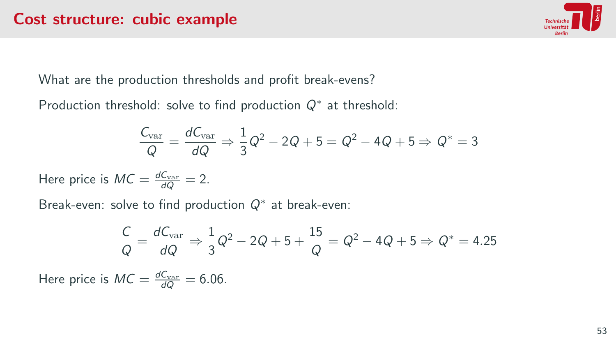

What are the production thresholds and profit break-evens?

Production threshold: solve to find production  $Q^*$  at threshold:

$$
\frac{C_{\text{var}}}{Q} = \frac{dC_{\text{var}}}{dQ} \Rightarrow \frac{1}{3}Q^2 - 2Q + 5 = Q^2 - 4Q + 5 \Rightarrow Q^* = 3
$$

Here price is  $MC = \frac{dC_{\text{var}}}{dQ} = 2$ .

Break-even: solve to find production  $Q^*$  at break-even:

$$
\frac{C}{Q} = \frac{dC_{\text{var}}}{dQ} \Rightarrow \frac{1}{3}Q^2 - 2Q + 5 + \frac{15}{Q} = Q^2 - 4Q + 5 \Rightarrow Q^* = 4.25
$$

Here price is  $MC = \frac{dC_{\text{var}}}{dQ} = 6.06$ .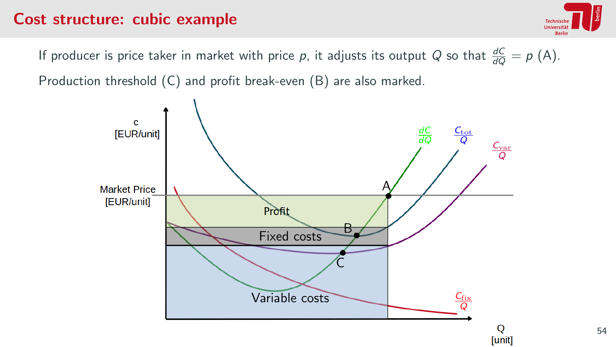#### Cost structure: cubic example



If producer is price taker in market with price p, it adjusts its output Q so that  $\frac{dC}{dQ} = p$  (A). Production threshold (C) and profit break-even (B) are also marked.



54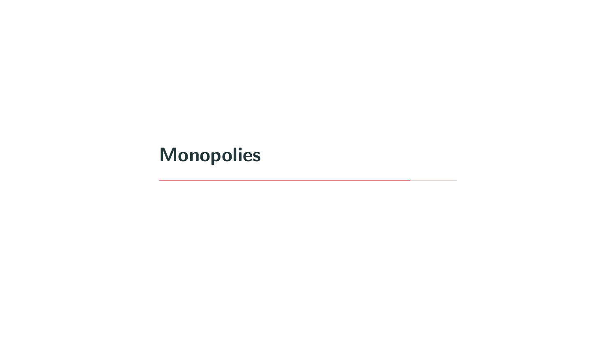<span id="page-59-0"></span>[Monopolies](#page-59-0)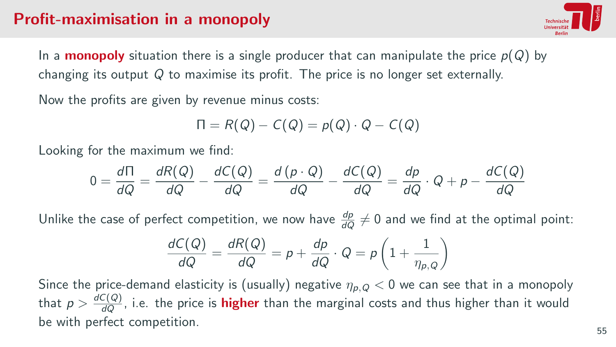# Profit-maximisation in a monopoly



In a **monopoly** situation there is a single producer that can manipulate the price  $p(Q)$  by changing its output Q to maximise its profit. The price is no longer set externally.

Now the profits are given by revenue minus costs:

$$
\Pi = R(Q) - C(Q) = p(Q) \cdot Q - C(Q)
$$

Looking for the maximum we find:

$$
0 = \frac{d\Pi}{dQ} = \frac{dR(Q)}{dQ} - \frac{dC(Q)}{dQ} = \frac{d(p \cdot Q)}{dQ} - \frac{dC(Q)}{dQ} = \frac{dp}{dQ} \cdot Q + p - \frac{dC(Q)}{dQ}
$$

Unlike the case of perfect competition, we now have  $\frac{dp}{dQ}\neq 0$  and we find at the optimal point:

$$
\frac{dC(Q)}{dQ} = \frac{dR(Q)}{dQ} = p + \frac{dp}{dQ} \cdot Q = p\left(1 + \frac{1}{\eta_{p,Q}}\right)
$$

Since the price-demand elasticity is (usually) negative  $\eta_{p,Q} < 0$  we can see that in a monopoly that  $p>\frac{dC(Q)}{dQ}$ , i.e. the price is **higher** than the marginal costs and thus higher than it would be with perfect competition.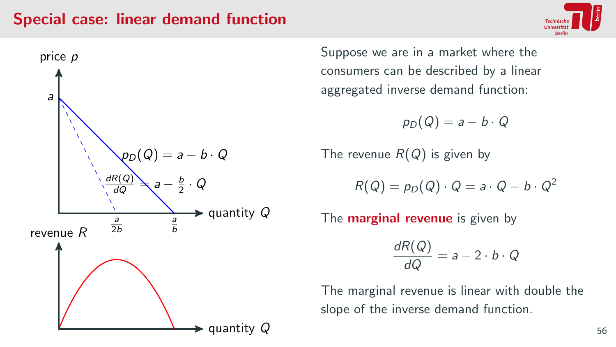#### Special case: linear demand function





Suppose we are in a market where the consumers can be described by a linear aggregated inverse demand function:

 $p_D(Q) = a - b \cdot Q$ 

The revenue  $R(Q)$  is given by

$$
R(Q) = p_D(Q) \cdot Q = a \cdot Q - b \cdot Q^2
$$

The **marginal revenue** is given by

 $\frac{dR(Q)}{dQ} = a - 2 \cdot b \cdot Q$ 

The marginal revenue is linear with double the slope of the inverse demand function.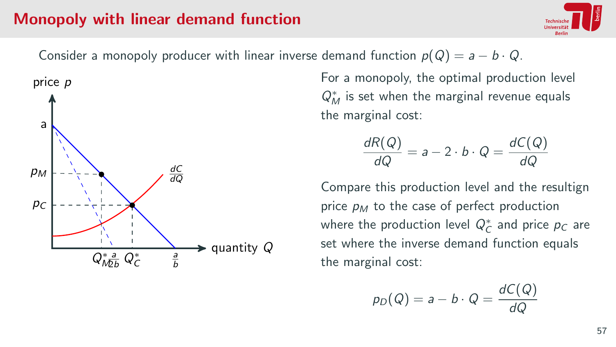#### Monopoly with linear demand function



Consider a monopoly producer with linear inverse demand function  $p(Q) = a - b \cdot Q$ .



For a monopoly, the optimal production level  $Q_M^*$  is set when the marginal revenue equals the marginal cost:

$$
\frac{dR(Q)}{dQ} = a - 2 \cdot b \cdot Q = \frac{dC(Q)}{dQ}
$$

Compare this production level and the resultign price  $p_M$  to the case of perfect production where the production level  $Q_C^*$  and price  $p_C$  are set where the inverse demand function equals the marginal cost:

$$
p_D(Q) = a - b \cdot Q = \frac{dC(Q)}{dQ}
$$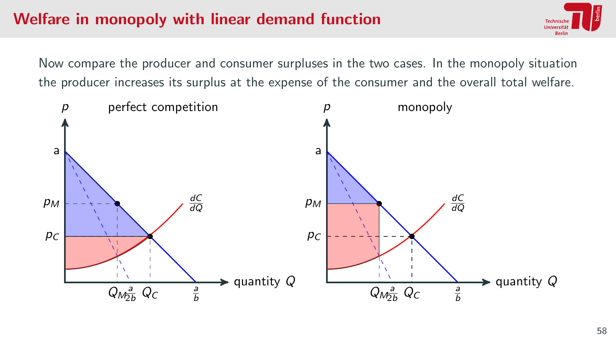## Welfare in monopoly with linear demand function

Now compare the producer and consumer surpluses in the two cases. In the monopoly situation the producer increases its surplus at the expense of the consumer and the overall total welfare.

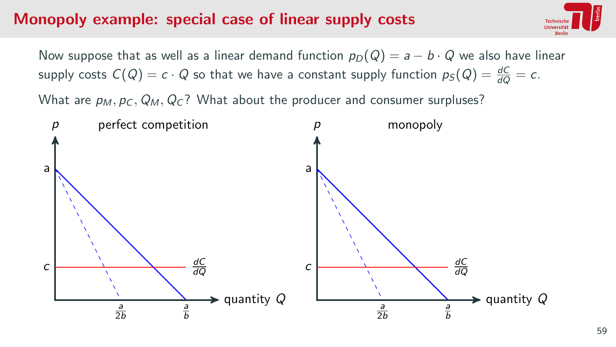#### Monopoly example: special case of linear supply costs



Now suppose that as well as a linear demand function  $p_D(Q) = a - b \cdot Q$  we also have linear supply costs  $C(Q) = c \cdot Q$  so that we have a constant supply function  $p_S(Q) = \frac{dC}{dQ} = c$ .

What are  $p_M$ ,  $p_C$ ,  $Q_M$ ,  $Q_C$ ? What about the producer and consumer surpluses?

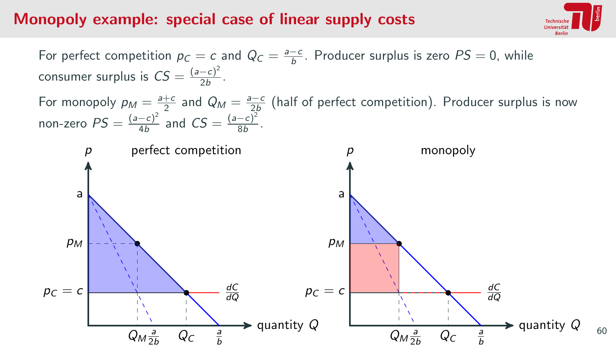#### Monopoly example: special case of linear supply costs



60

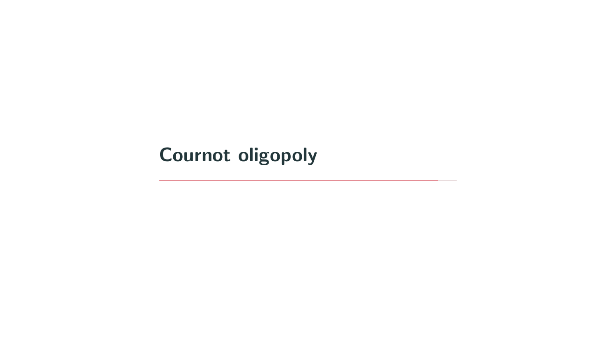# <span id="page-66-0"></span>[Cournot oligopoly](#page-66-0)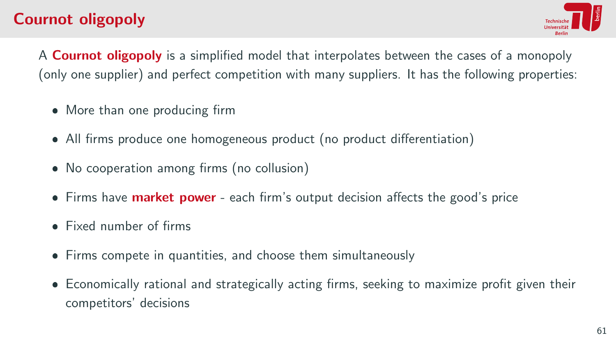# Cournot oligopoly



A **Cournot oligopoly** is a simplified model that interpolates between the cases of a monopoly (only one supplier) and perfect competition with many suppliers. It has the following properties:

- More than one producing firm
- All firms produce one homogeneous product (no product differentiation)
- No cooperation among firms (no collusion)
- Firms have **market power** each firm's output decision affects the good's price
- Fixed number of firms
- Firms compete in quantities, and choose them simultaneously
- Economically rational and strategically acting firms, seeking to maximize profit given their competitors' decisions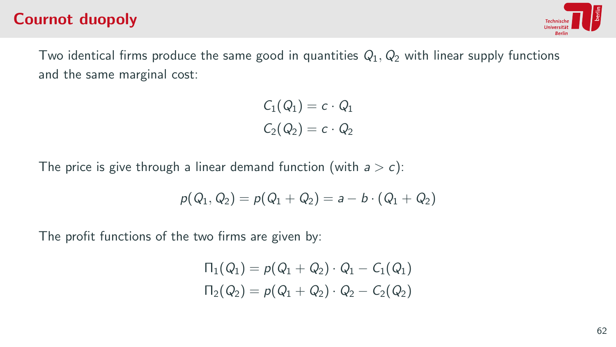### Cournot duopoly



Two identical firms produce the same good in quantities  $Q_1$ ,  $Q_2$  with linear supply functions and the same marginal cost:

$$
C_1(Q_1) = c \cdot Q_1
$$
  

$$
C_2(Q_2) = c \cdot Q_2
$$

The price is give through a linear demand function (with  $a > c$ ):

$$
p(Q_1, Q_2) = p(Q_1 + Q_2) = a - b \cdot (Q_1 + Q_2)
$$

The profit functions of the two firms are given by:

$$
\Pi_1(Q_1) = p(Q_1 + Q_2) \cdot Q_1 - C_1(Q_1)
$$
  
\n
$$
\Pi_2(Q_2) = p(Q_1 + Q_2) \cdot Q_2 - C_2(Q_2)
$$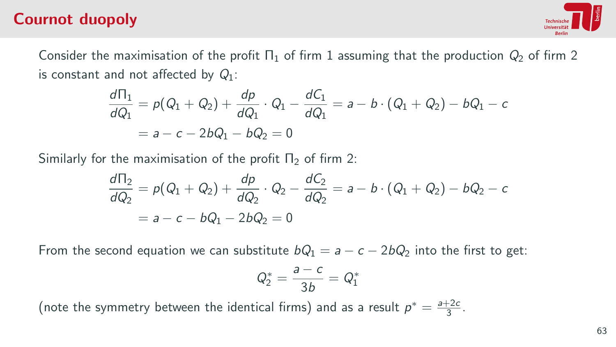## Cournot duopoly



Consider the maximisation of the profit  $\Pi_1$  of firm 1 assuming that the production  $Q_2$  of firm 2 is constant and not affected by  $Q_1$ :

$$
\frac{d\Pi_1}{dQ_1} = p(Q_1 + Q_2) + \frac{dp}{dQ_1} \cdot Q_1 - \frac{dC_1}{dQ_1} = a - b \cdot (Q_1 + Q_2) - bQ_1 - c
$$
  
=  $a - c - 2bQ_1 - bQ_2 = 0$ 

Similarly for the maximisation of the profit  $\Pi_2$  of firm 2:

$$
\frac{d\Pi_2}{dQ_2} = p(Q_1 + Q_2) + \frac{dp}{dQ_2} \cdot Q_2 - \frac{dC_2}{dQ_2} = a - b \cdot (Q_1 + Q_2) - bQ_2 - c
$$
  
=  $a - c - bQ_1 - 2bQ_2 = 0$ 

From the second equation we can substitute  $bQ_1 = a - c - 2bQ_2$  into the first to get:

$$
Q_2^*=\frac{a-c}{3b}=Q_1^*
$$

(note the symmetry between the identical firms) and as a result  $p^* = \frac{a+2c}{3}$ .